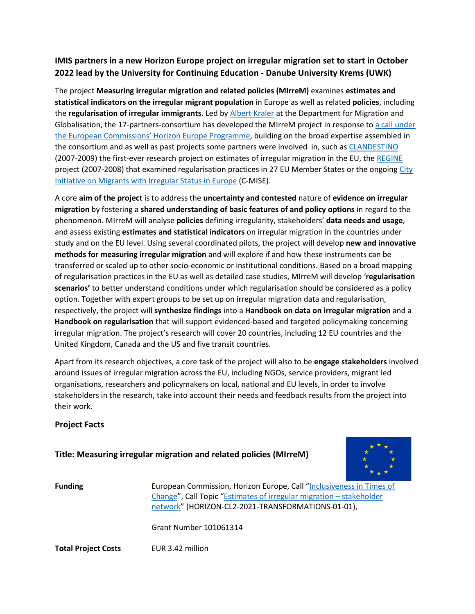## **IMIS partners in a new Horizon Europe project on irregular migration set to start in October 2022 lead by the University for Continuing Education - Danube University Krems (UWK)**

The project **Measuring irregular migration and related policies (MIrreM)** examines **estimates and statistical indicators on the irregular migrant population** in Europe as well as related **policies**, including the **regularisation of irregular immigrants**. Led b[y Albert Kraler](https://www.donau-uni.ac.at/en/university/organization/employees/person/4295307317) at the Department for Migration and Globalisation, the 17-partners-consortium has developed the MIrreM project in response to [a call under](https://ec.europa.eu/info/funding-tenders/opportunities/portal/screen/opportunities/topic-details/horizon-cl2-2021-transformations-01-01;callCode=null;freeTextSearchKeyword=HORIZON-CL2-2021-TRANSFORMATIONS-01;matchWholeText=true;typeCodes=1,0;statusCodes=31094501,31094502,31094503;programmePeriod=null;programCcm2Id=null;programDivisionCode=null;focusAreaCode=null;destination=null;mission=null;geographicalZonesCode=null;programmeDivisionProspect=null;startDateLte=null;startDateGte=null;crossCuttingPriorityCode=null;cpvCode=null;performanceOfDelivery=null;sortQuery=sortStatus;orderBy=asc;onlyTenders=false;topicListKey=topicSearchTablePageState)  [the European Commissions' Horizon Europe Programme,](https://ec.europa.eu/info/funding-tenders/opportunities/portal/screen/opportunities/topic-details/horizon-cl2-2021-transformations-01-01;callCode=null;freeTextSearchKeyword=HORIZON-CL2-2021-TRANSFORMATIONS-01;matchWholeText=true;typeCodes=1,0;statusCodes=31094501,31094502,31094503;programmePeriod=null;programCcm2Id=null;programDivisionCode=null;focusAreaCode=null;destination=null;mission=null;geographicalZonesCode=null;programmeDivisionProspect=null;startDateLte=null;startDateGte=null;crossCuttingPriorityCode=null;cpvCode=null;performanceOfDelivery=null;sortQuery=sortStatus;orderBy=asc;onlyTenders=false;topicListKey=topicSearchTablePageState) building on the broad expertise assembled in the consortium and as well as past projects some partners were involved in, such as [CLANDESTINO](https://irregular-migration.net/) (2007-2009) the first-ever research project on estimates of irregular migration in the EU, the [REGINE](https://research.icmpd.org/projects/irregular-migration/regine/#c2488) project (2007-2008) that examined regularisation practices in 27 EU Member States or the ongoing [City](https://www.compas.ox.ac.uk/project/city-initiative-on-irregular-migrants-in-europe-c-mise/)  [Initiative on Migrants with Irregular Status in Europe](https://www.compas.ox.ac.uk/project/city-initiative-on-irregular-migrants-in-europe-c-mise/) (C-MISE).

A core **aim of the project** is to address the **uncertainty and contested** nature of **evidence on irregular migration** by fostering a **shared understanding of basic features of and policy options** in regard to the phenomenon. MIrreM will analyse **policies** defining irregularity, stakeholders' **data needs and usage**, and assess existing **estimates and statistical indicators** on irregular migration in the countries under study and on the EU level. Using several coordinated pilots, the project will develop **new and innovative methods for measuring irregular migration** and will explore if and how these instruments can be transferred or scaled up to other socio-economic or institutional conditions. Based on a broad mapping of regularisation practices in the EU as well as detailed case studies, MIrreM will develop '**regularisation scenarios'** to better understand conditions under which regularisation should be considered as a policy option. Together with expert groups to be set up on irregular migration data and regularisation, respectively, the project will **synthesize findings** into a **Handbook on data on irregular migration** and a **Handbook on regularisation** that will support evidenced-based and targeted policymaking concerning irregular migration. The project's research will cover 20 countries, including 12 EU countries and the United Kingdom, Canada and the US and five transit countries.

Apart from its research objectives, a core task of the project will also to be **engage stakeholders** involved around issues of irregular migration across the EU, including NGOs, service providers, migrant led organisations, researchers and policymakers on local, national and EU levels, in order to involve stakeholders in the research, take into account their needs and feedback results from the project into their work.

## **Project Facts**

## **Title: Measuring irregular migration and related policies (MIrreM)**



**Funding** European Commission, Horizon Europe, Call "Inclusiveness in Times of [Change"](file://Org2fs/common/Team/Mis/02_Projects/03_Projects_In_Preparation/FP_3250_MIrreM/05_Project%20info%20&%20marketing/HORIZON-CL2-2021-TRANSFORMATIONS-01-01), Call Topic ["Estimates of irregular migration –](https://ec.europa.eu/info/funding-tenders/opportunities/portal/screen/opportunities/topic-details/horizon-cl2-2021-transformations-01-01;callCode=null;freeTextSearchKeyword=HORIZON-CL2-2021-TRANSFORMATIONS-01;matchWholeText=true;typeCodes=1,0;statusCodes=31094501,31094502,31094503;programmePeriod=null;programCcm2Id=null;programDivisionCode=null;focusAreaCode=null;destination=null;mission=null;geographicalZonesCode=null;programmeDivisionProspect=null;startDateLte=null;startDateGte=null;crossCuttingPriorityCode=null;cpvCode=null;performanceOfDelivery=null;sortQuery=sortStatus;orderBy=asc;onlyTenders=false;topicListKey=topicSearchTablePageState) stakeholder [network"](https://ec.europa.eu/info/funding-tenders/opportunities/portal/screen/opportunities/topic-details/horizon-cl2-2021-transformations-01-01;callCode=null;freeTextSearchKeyword=HORIZON-CL2-2021-TRANSFORMATIONS-01;matchWholeText=true;typeCodes=1,0;statusCodes=31094501,31094502,31094503;programmePeriod=null;programCcm2Id=null;programDivisionCode=null;focusAreaCode=null;destination=null;mission=null;geographicalZonesCode=null;programmeDivisionProspect=null;startDateLte=null;startDateGte=null;crossCuttingPriorityCode=null;cpvCode=null;performanceOfDelivery=null;sortQuery=sortStatus;orderBy=asc;onlyTenders=false;topicListKey=topicSearchTablePageState) (HORIZON-CL2-2021-TRANSFORMATIONS-01-01),

Grant Number 101061314

**Total Project Costs** EUR 3.42 million